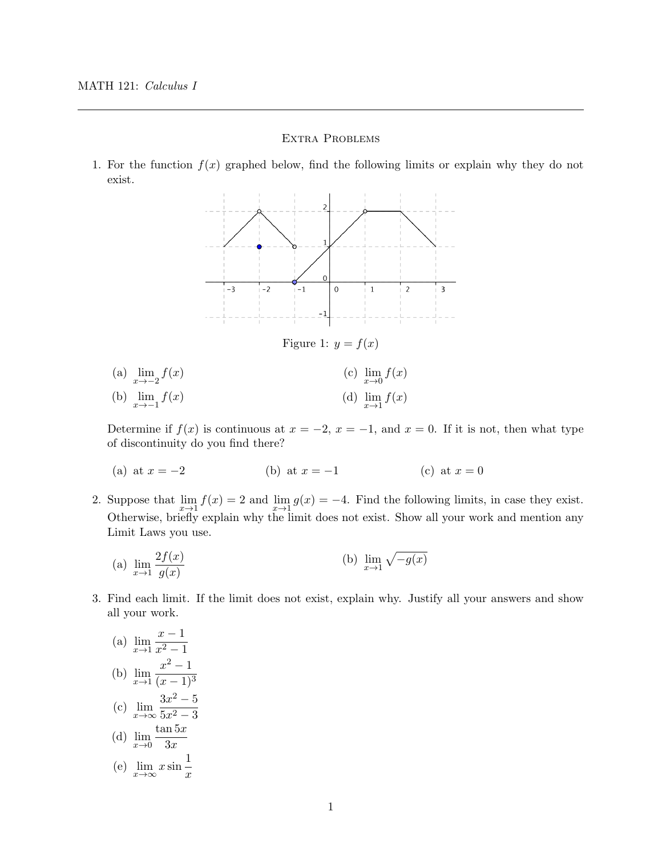## Extra Problems

1. For the function  $f(x)$  graphed below, find the following limits or explain why they do not exist.



(a)  $\lim_{x \to -2} f(x)$ (b)  $\lim_{x \to -1} f(x)$ (c)  $\lim_{x\to 0} f(x)$ (d)  $\lim_{x\to 1} f(x)$ 

Determine if  $f(x)$  is continuous at  $x = -2$ ,  $x = -1$ , and  $x = 0$ . If it is not, then what type of discontinuity do you find there?

- (a) at  $x = -2$  (b) at  $x = -1$  (c) at  $x = 0$
- 2. Suppose that  $\lim_{x\to 1} f(x) = 2$  and  $\lim_{x\to 1} g(x) = -4$ . Find the following limits, in case they exist. Otherwise, briefly explain why the limit does not exist. Show all your work and mention any Limit Laws you use.

(a) 
$$
\lim_{x \to 1} \frac{2f(x)}{g(x)}
$$
 (b)  $\lim_{x \to 1} \sqrt{-g(x)}$ 

- 3. Find each limit. If the limit does not exist, explain why. Justify all your answers and show all your work.
	- $(a)$   $\lim_{x\to 1}$  $x - 1$  $x^2-1$ (b)  $\lim_{x\to 1}$  $x^2-1$  $(x-1)^3$ (c)  $\lim_{x \to \infty} \frac{3x^2 - 5}{5x^2 - 3}$  $5x^2 - 3$ (d)  $\lim_{x\to 0}$  $\tan 5x$  $3x$ (e)  $\lim_{x \to \infty} x \sin \frac{1}{x}$  $\overline{x}$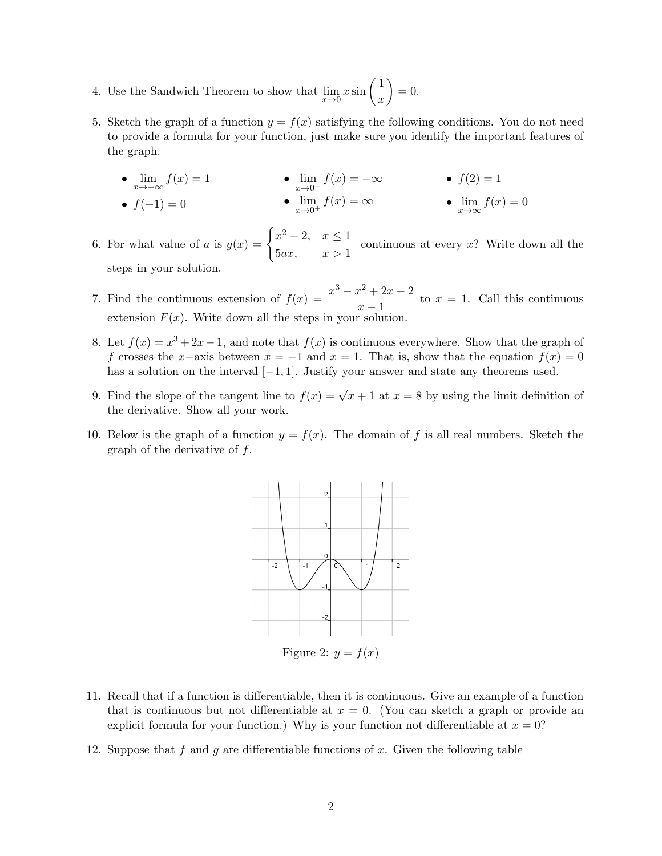- 4. Use the Sandwich Theorem to show that  $\lim_{x\to 0} x \sin\left(\frac{1}{x}\right)$  $\boldsymbol{x}$  $\Big) = 0.$
- 5. Sketch the graph of a function  $y = f(x)$  satisfying the following conditions. You do not need to provide a formula for your function, just make sure you identify the important features of the graph.
	- $\lim_{x \to -\infty} f(x) = 1$ •  $f(-1) = 0$ •  $\lim_{x\to 0^-} f(x) = -\infty$ •  $\lim_{x\to 0^+} f(x) = \infty$ •  $f(2) = 1$ •  $\lim_{x \to \infty} f(x) = 0$
- 6. For what value of a is  $g(x) = \begin{cases} x^2 + 2, & x \leq 1$  $5ax, \qquad x > 1$ continuous at every x? Write down all the steps in your solution.
- 7. Find the continuous extension of  $f(x) = \frac{x^3 x^2 + 2x 2}{1}$  $\frac{x-2x-2}{x-1}$  to  $x = 1$ . Call this continuous extension  $F(x)$ . Write down all the steps in your solution.
- 8. Let  $f(x) = x^3 + 2x 1$ , and note that  $f(x)$  is continuous everywhere. Show that the graph of f crosses the x–axis between  $x = -1$  and  $x = 1$ . That is, show that the equation  $f(x) = 0$ has a solution on the interval  $[-1, 1]$ . Justify your answer and state any theorems used.
- 9. Find the slope of the tangent line to  $f(x) = \sqrt{x+1}$  at  $x = 8$  by using the limit definition of the derivative. Show all your work.
- 10. Below is the graph of a function  $y = f(x)$ . The domain of f is all real numbers. Sketch the graph of the derivative of  $f$ .



Figure 2:  $y = f(x)$ 

- 11. Recall that if a function is differentiable, then it is continuous. Give an example of a function that is continuous but not differentiable at  $x = 0$ . (You can sketch a graph or provide an explicit formula for your function.) Why is your function not differentiable at  $x = 0$ ?
- 12. Suppose that f and g are differentiable functions of x. Given the following table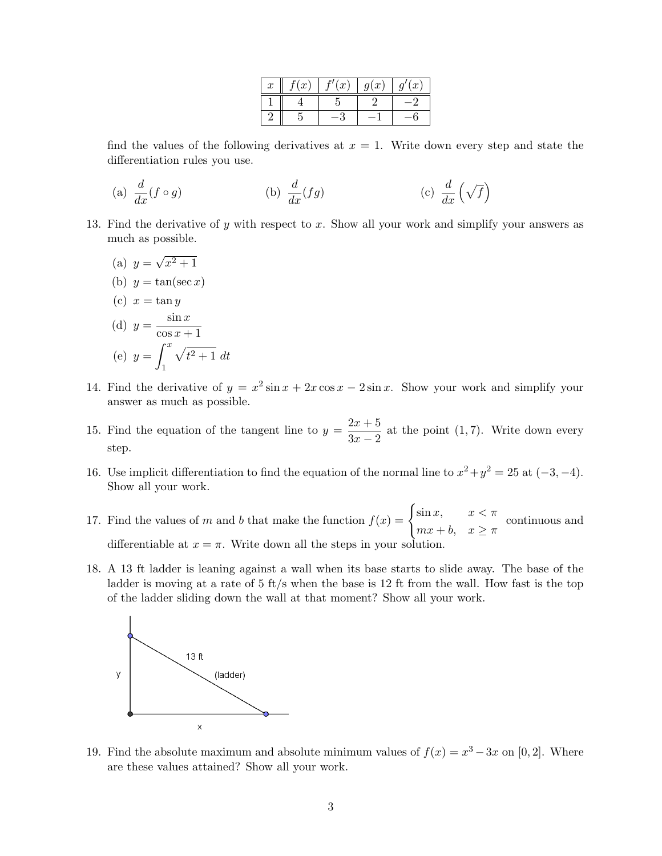| $\boldsymbol{x}$ | $\left(x\right)$ | (x) | g(x) | (x <sup>2</sup> ) |
|------------------|------------------|-----|------|-------------------|
|                  |                  |     |      |                   |
|                  |                  |     |      |                   |

find the values of the following derivatives at  $x = 1$ . Write down every step and state the differentiation rules you use.

(a) 
$$
\frac{d}{dx}(f \circ g)
$$
 (b)  $\frac{d}{dx}(fg)$  (c)  $\frac{d}{dx}(\sqrt{f})$ 

- 13. Find the derivative of y with respect to x. Show all your work and simplify your answers as much as possible.
	- (a)  $y =$ √  $x^2 + 1$ (b)  $y = \tan(\sec x)$ (c)  $x = \tan y$ (d)  $y = \frac{\sin x}{x}$  $\cos x + 1$ (e)  $y = \int^x$ 1  $\sqrt{t^2+1} dt$
- 14. Find the derivative of  $y = x^2 \sin x + 2x \cos x 2 \sin x$ . Show your work and simplify your answer as much as possible.
- 15. Find the equation of the tangent line to  $y = \frac{2x+5}{2}$  $\frac{2x+6}{3x-2}$  at the point (1,7). Write down every step.
- 16. Use implicit differentiation to find the equation of the normal line to  $x^2 + y^2 = 25$  at  $(-3, -4)$ . Show all your work.
- 17. Find the values of m and b that make the function  $f(x) = \begin{cases} \sin x, & x < \pi \end{cases}$  $mx + b$ ,  $x \geq \pi$ continuous and differentiable at  $x = \pi$ . Write down all the steps in your solution.
- 18. A 13 ft ladder is leaning against a wall when its base starts to slide away. The base of the ladder is moving at a rate of  $5 \text{ ft/s}$  when the base is 12 ft from the wall. How fast is the top of the ladder sliding down the wall at that moment? Show all your work.



19. Find the absolute maximum and absolute minimum values of  $f(x) = x^3 - 3x$  on [0, 2]. Where are these values attained? Show all your work.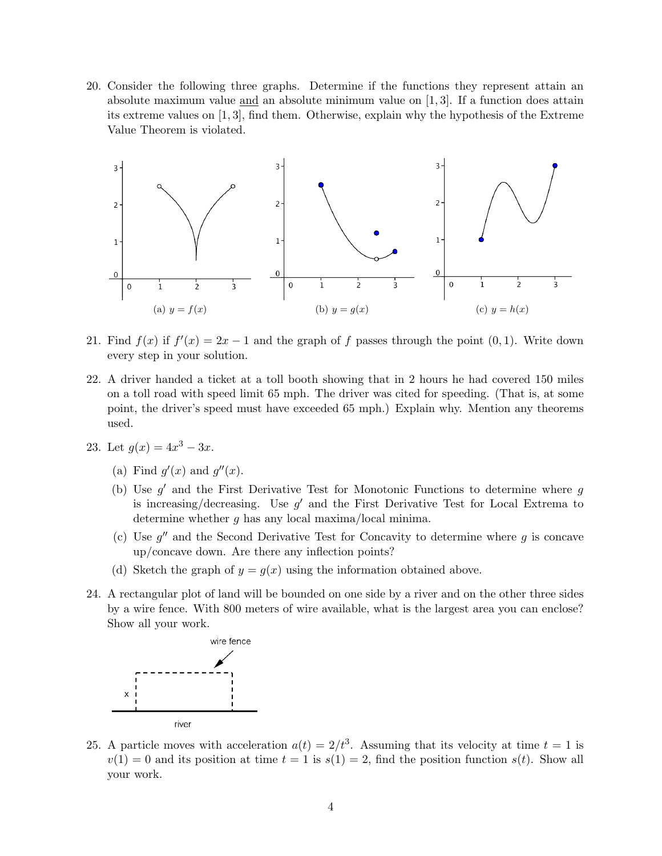20. Consider the following three graphs. Determine if the functions they represent attain an absolute maximum value and an absolute minimum value on  $[1,3]$ . If a function does attain its extreme values on [1, 3], find them. Otherwise, explain why the hypothesis of the Extreme Value Theorem is violated.



- 21. Find  $f(x)$  if  $f'(x) = 2x 1$  and the graph of f passes through the point  $(0, 1)$ . Write down every step in your solution.
- 22. A driver handed a ticket at a toll booth showing that in 2 hours he had covered 150 miles on a toll road with speed limit 65 mph. The driver was cited for speeding. (That is, at some point, the driver's speed must have exceeded 65 mph.) Explain why. Mention any theorems used.
- 23. Let  $g(x) = 4x^3 3x$ .
	- (a) Find  $g'(x)$  and  $g''(x)$ .
	- (b) Use  $g'$  and the First Derivative Test for Monotonic Functions to determine where  $g$ is increasing/decreasing. Use  $g'$  and the First Derivative Test for Local Extrema to determine whether  $g$  has any local maxima/local minima.
	- (c) Use  $g''$  and the Second Derivative Test for Concavity to determine where  $g$  is concave up/concave down. Are there any inflection points?
	- (d) Sketch the graph of  $y = g(x)$  using the information obtained above.
- 24. A rectangular plot of land will be bounded on one side by a river and on the other three sides by a wire fence. With 800 meters of wire available, what is the largest area you can enclose? Show all your work.



25. A particle moves with acceleration  $a(t) = 2/t^3$ . Assuming that its velocity at time  $t = 1$  is  $v(1) = 0$  and its position at time  $t = 1$  is  $s(1) = 2$ , find the position function  $s(t)$ . Show all your work.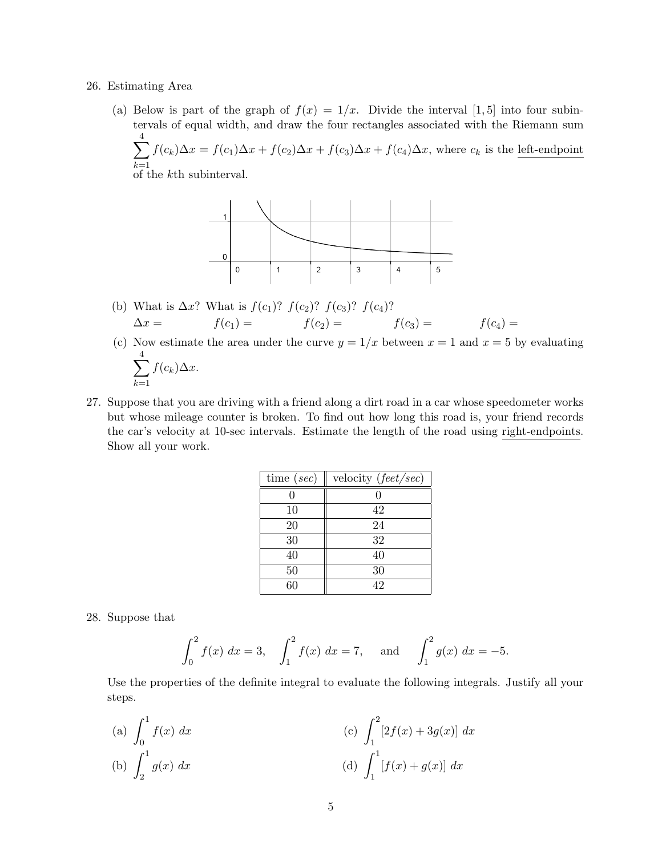## 26. Estimating Area

(a) Below is part of the graph of  $f(x) = 1/x$ . Divide the interval [1,5] into four subintervals of equal width, and draw the four rectangles associated with the Riemann sum  $\sum$ 4

 $k=1$  $f(c_k)\Delta x = f(c_1)\Delta x + f(c_2)\Delta x + f(c_3)\Delta x + f(c_4)\Delta x$ , where  $c_k$  is the left-endpoint

of the kth subinterval.



- (b) What is  $\Delta x$ ? What is  $f(c_1)$ ?  $f(c_2)$ ?  $f(c_3)$ ?  $f(c_4)$ ?  $\Delta x = f(c_1) = f(c_2) = f(c_3) = f(c_4) =$
- (c) Now estimate the area under the curve  $y = 1/x$  between  $x = 1$  and  $x = 5$  by evaluating  $\sum$ 4  $f(c_k)\Delta x$ .
- 27. Suppose that you are driving with a friend along a dirt road in a car whose speedometer works but whose mileage counter is broken. To find out how long this road is, your friend records the car's velocity at 10-sec intervals. Estimate the length of the road using right-endpoints. Show all your work.

| time $(sec)$ | velocity $(\text{feet}/\text{sec})$ |
|--------------|-------------------------------------|
|              |                                     |
| 10           | 42                                  |
| 20           | 24                                  |
| 30           | 32                                  |
| 40           | 40                                  |
| 50           | 30                                  |
| 60           | 42                                  |

28. Suppose that

 $k=1$ 

$$
\int_0^2 f(x) dx = 3, \quad \int_1^2 f(x) dx = 7, \quad \text{and} \quad \int_1^2 g(x) dx = -5.
$$

Use the properties of the definite integral to evaluate the following integrals. Justify all your steps.

(a) 
$$
\int_0^1 f(x) dx
$$
  
\n(b)  $\int_2^1 g(x) dx$   
\n(c)  $\int_1^2 [2f(x) + 3g(x)] dx$   
\n(d)  $\int_1^1 [f(x) + g(x)] dx$